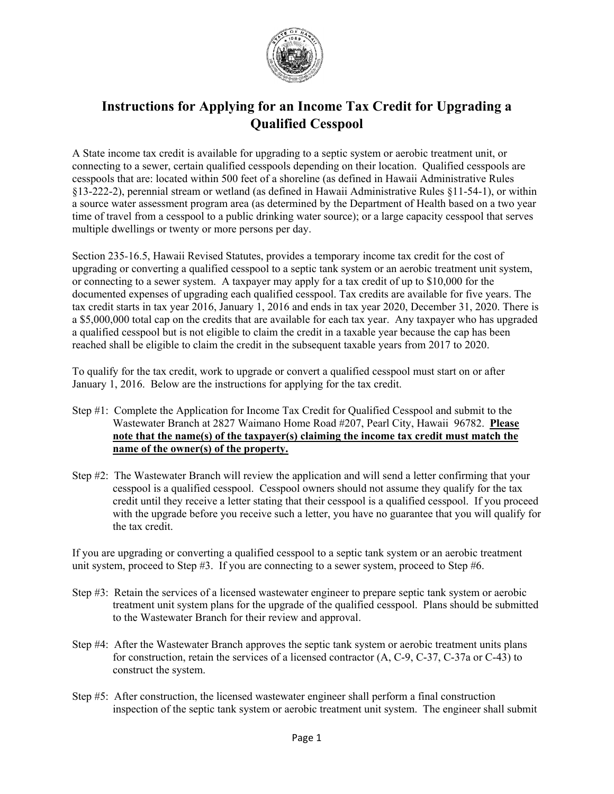

## **Instructions for Applying for an Income Tax Credit for Upgrading a Qualified Cesspool**

A State income tax credit is available for upgrading to a septic system or aerobic treatment unit, or connecting to a sewer, certain qualified cesspools depending on their location. Qualified cesspools are cesspools that are: located within 500 feet of a shoreline (as defined in Hawaii Administrative Rules §13-222-2), perennial stream or wetland (as defined in Hawaii Administrative Rules §11-54-1), or within a source water assessment program area (as determined by the Department of Health based on a two year time of travel from a cesspool to a public drinking water source); or a large capacity cesspool that serves multiple dwellings or twenty or more persons per day.

Section 235*-*16.5, Hawaii Revised Statutes, provides a temporary income tax credit for the cost of upgrading or converting a qualified cesspool to a septic tank system or an aerobic treatment unit system, or connecting to a sewer system. A taxpayer may apply for a tax credit of up to \$10,000 for the documented expenses of upgrading each qualified cesspool. Tax credits are available for five years. The tax credit starts in tax year 2016, January 1, 2016 and ends in tax year 2020, December 31, 2020. There is a \$5,000,000 total cap on the credits that are available for each tax year. Any taxpayer who has upgraded a qualified cesspool but is not eligible to claim the credit in a taxable year because the cap has been reached shall be eligible to claim the credit in the subsequent taxable years from 2017 to 2020.

To qualify for the tax credit, work to upgrade or convert a qualified cesspool must start on or after January 1, 2016. Below are the instructions for applying for the tax credit.

- Step #1: Complete the Application for Income Tax Credit for Qualified Cesspool and submit to the Wastewater Branch at 2827 Waimano Home Road #207, Pearl City, Hawaii 96782. **Please note that the name(s) of the taxpayer(s) claiming the income tax credit must match the name of the owner(s) of the property.**
- Step #2: The Wastewater Branch will review the application and will send a letter confirming that your cesspool is a qualified cesspool. Cesspool owners should not assume they qualify for the tax credit until they receive a letter stating that their cesspool is a qualified cesspool. If you proceed with the upgrade before you receive such a letter, you have no guarantee that you will qualify for the tax credit.

If you are upgrading or converting a qualified cesspool to a septic tank system or an aerobic treatment unit system, proceed to Step #3. If you are connecting to a sewer system, proceed to Step #6.

- Step #3: Retain the services of a licensed wastewater engineer to prepare septic tank system or aerobic treatment unit system plans for the upgrade of the qualified cesspool. Plans should be submitted to the Wastewater Branch for their review and approval.
- Step #4: After the Wastewater Branch approves the septic tank system or aerobic treatment units plans for construction, retain the services of a licensed contractor (A, C-9, C-37, C-37a or C-43) to construct the system.
- Step #5: After construction, the licensed wastewater engineer shall perform a final construction inspection of the septic tank system or aerobic treatment unit system. The engineer shall submit